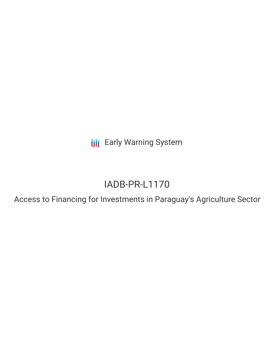**III** Early Warning System

## IADB-PR-L1170

Access to Financing for Investments in Paraguay's Agriculture Sector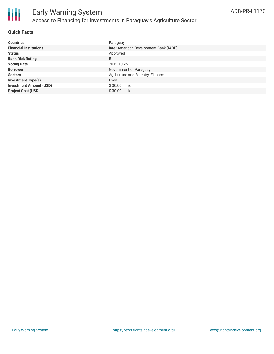

#### **Quick Facts**

| <b>Countries</b>               | Paraguay                               |
|--------------------------------|----------------------------------------|
| <b>Financial Institutions</b>  | Inter-American Development Bank (IADB) |
| <b>Status</b>                  | Approved                               |
| <b>Bank Risk Rating</b>        | B                                      |
| <b>Voting Date</b>             | 2019-10-25                             |
| <b>Borrower</b>                | Government of Paraguay                 |
| <b>Sectors</b>                 | Agriculture and Forestry, Finance      |
| <b>Investment Type(s)</b>      | Loan                                   |
| <b>Investment Amount (USD)</b> | $$30.00$ million                       |
| <b>Project Cost (USD)</b>      | $$30.00$ million                       |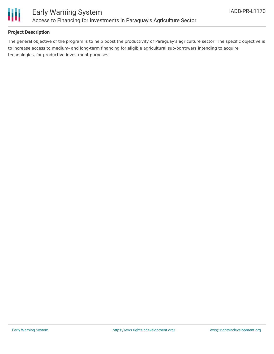

### **Project Description**

The general objective of the program is to help boost the productivity of Paraguay's agriculture sector. The specific objective is to increase access to medium- and long-term financing for eligible agricultural sub-borrowers intending to acquire technologies, for productive investment purposes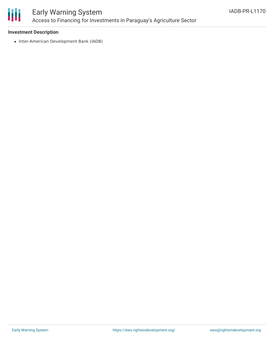

### Early Warning System Access to Financing for Investments in Paraguay's Agriculture Sector

#### **Investment Description**

• Inter-American Development Bank (IADB)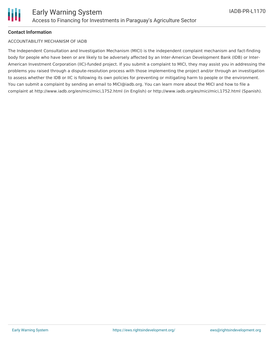

#### **Contact Information**

#### ACCOUNTABILITY MECHANISM OF IADB

The Independent Consultation and Investigation Mechanism (MICI) is the independent complaint mechanism and fact-finding body for people who have been or are likely to be adversely affected by an Inter-American Development Bank (IDB) or Inter-American Investment Corporation (IIC)-funded project. If you submit a complaint to MICI, they may assist you in addressing the problems you raised through a dispute-resolution process with those implementing the project and/or through an investigation to assess whether the IDB or IIC is following its own policies for preventing or mitigating harm to people or the environment. You can submit a complaint by sending an email to MICI@iadb.org. You can learn more about the MICI and how to file a complaint at http://www.iadb.org/en/mici/mici,1752.html (in English) or http://www.iadb.org/es/mici/mici,1752.html (Spanish).